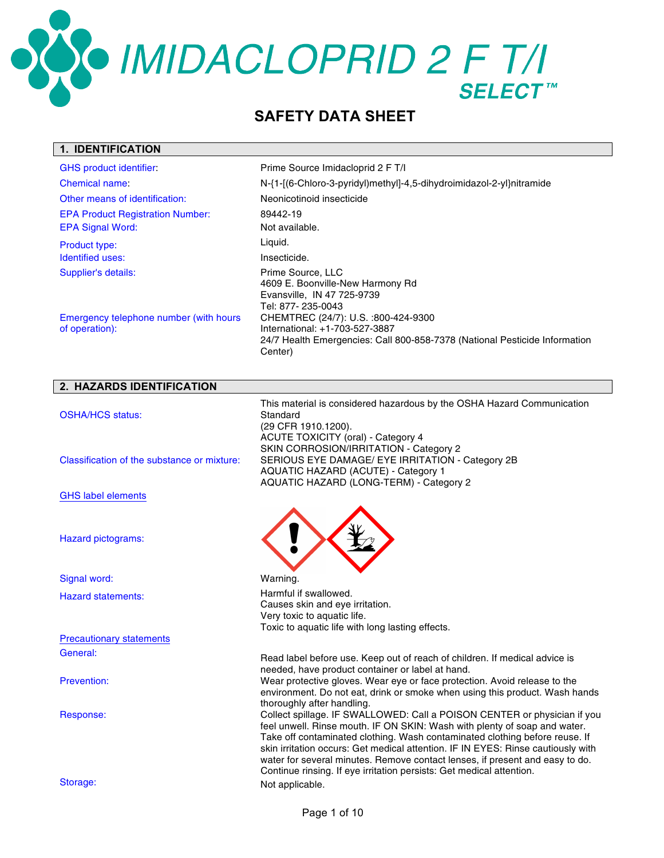OCOMIDACLOPRID 2 F T/I

### **SAFETY DATA SHEET**

### **1. IDENTIFICATION**

| <b>GHS product identifier:</b>                           | Prime Source Imidacloprid 2 F T/I                                                                                                                              |
|----------------------------------------------------------|----------------------------------------------------------------------------------------------------------------------------------------------------------------|
| Chemical name:                                           | N-{1-[(6-Chloro-3-pyridyl)methyl]-4,5-dihydroimidazol-2-yl}nitramide                                                                                           |
| Other means of identification:                           | Neonicotinoid insecticide                                                                                                                                      |
| <b>EPA Product Registration Number:</b>                  | 89442-19                                                                                                                                                       |
| <b>EPA Signal Word:</b>                                  | Not available.                                                                                                                                                 |
| <b>Product type:</b>                                     | Liquid.                                                                                                                                                        |
| Identified uses:                                         | Insecticide.                                                                                                                                                   |
| Supplier's details:                                      | Prime Source, LLC<br>4609 E. Boonville-New Harmony Rd<br>Evansville, IN 47 725-9739<br>Tel: 877- 235-0043                                                      |
| Emergency telephone number (with hours<br>of operation): | CHEMTREC (24/7): U.S. :800-424-9300<br>International: +1-703-527-3887<br>24/7 Health Emergencies: Call 800-858-7378 (National Pesticide Information<br>Center) |

| 2. HAZARDS IDENTIFICATION                   |                                                                                                                                                                                                                                                                                                                                                                                                                                                                                                                |
|---------------------------------------------|----------------------------------------------------------------------------------------------------------------------------------------------------------------------------------------------------------------------------------------------------------------------------------------------------------------------------------------------------------------------------------------------------------------------------------------------------------------------------------------------------------------|
| <b>OSHA/HCS status:</b>                     | This material is considered hazardous by the OSHA Hazard Communication<br>Standard<br>(29 CFR 1910.1200).<br><b>ACUTE TOXICITY (oral) - Category 4</b>                                                                                                                                                                                                                                                                                                                                                         |
| Classification of the substance or mixture: | SKIN CORROSION/IRRITATION - Category 2<br>SERIOUS EYE DAMAGE/ EYE IRRITATION - Category 2B<br>AQUATIC HAZARD (ACUTE) - Category 1<br>AQUATIC HAZARD (LONG-TERM) - Category 2                                                                                                                                                                                                                                                                                                                                   |
| <b>GHS label elements</b>                   |                                                                                                                                                                                                                                                                                                                                                                                                                                                                                                                |
| Hazard pictograms:                          |                                                                                                                                                                                                                                                                                                                                                                                                                                                                                                                |
| Signal word:                                | Warning.                                                                                                                                                                                                                                                                                                                                                                                                                                                                                                       |
| <b>Hazard statements:</b>                   | Harmful if swallowed.<br>Causes skin and eye irritation.<br>Very toxic to aquatic life.<br>Toxic to aquatic life with long lasting effects.                                                                                                                                                                                                                                                                                                                                                                    |
| <b>Precautionary statements</b>             |                                                                                                                                                                                                                                                                                                                                                                                                                                                                                                                |
| General:                                    | Read label before use. Keep out of reach of children. If medical advice is                                                                                                                                                                                                                                                                                                                                                                                                                                     |
| Prevention:                                 | needed, have product container or label at hand.<br>Wear protective gloves. Wear eye or face protection. Avoid release to the<br>environment. Do not eat, drink or smoke when using this product. Wash hands                                                                                                                                                                                                                                                                                                   |
| Response:                                   | thoroughly after handling.<br>Collect spillage. IF SWALLOWED: Call a POISON CENTER or physician if you<br>feel unwell. Rinse mouth. IF ON SKIN: Wash with plenty of soap and water.<br>Take off contaminated clothing. Wash contaminated clothing before reuse. If<br>skin irritation occurs: Get medical attention. IF IN EYES: Rinse cautiously with<br>water for several minutes. Remove contact lenses, if present and easy to do.<br>Continue rinsing. If eye irritation persists: Get medical attention. |
| Storage:                                    | Not applicable.                                                                                                                                                                                                                                                                                                                                                                                                                                                                                                |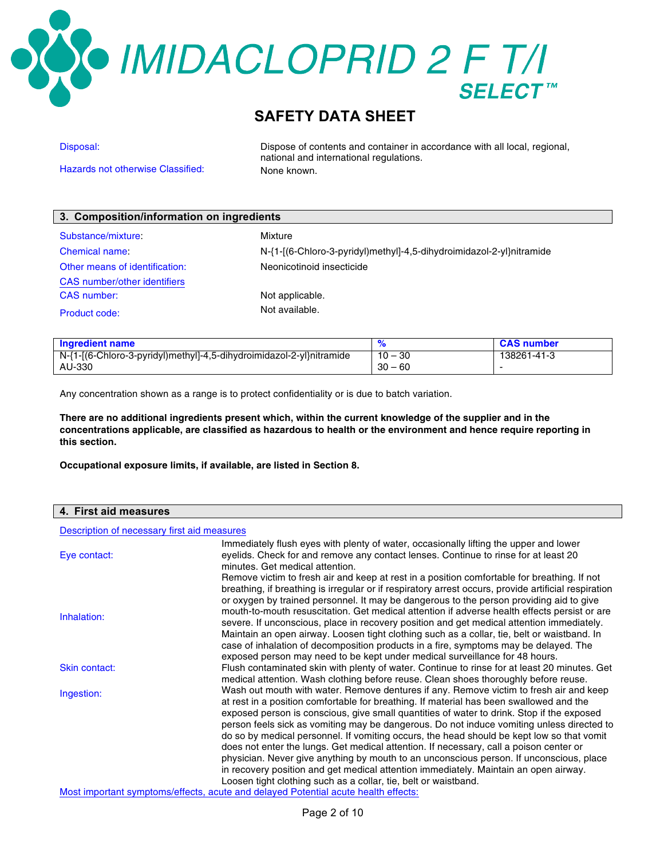### O IMIDACLOPRID 2 F T/I

### **SAFETY DATA SHEET**

Hazards not otherwise Classified: None known.

Disposal: Dispose of contents and container in accordance with all local, regional, national and international regulations.

| 3. Composition/information on ingredients |                                                                      |  |
|-------------------------------------------|----------------------------------------------------------------------|--|
| Substance/mixture:                        | Mixture                                                              |  |
| Chemical name:                            | N-{1-[(6-Chloro-3-pyridyl)methyl]-4,5-dihydroimidazol-2-yl}nitramide |  |
| Other means of identification:            | Neonicotinoid insecticide                                            |  |
| <b>CAS</b> number/other identifiers       |                                                                      |  |
| <b>CAS</b> number:                        | Not applicable.                                                      |  |
| Product code:                             | Not available.                                                       |  |

| <b>Ingredient name</b>                                               |           | <b>CAS number</b> |
|----------------------------------------------------------------------|-----------|-------------------|
| N-{1-[(6-Chloro-3-pyridyl)methyl]-4,5-dihydroimidazol-2-yl}nitramide | $10 - 30$ | 138261-41-3       |
| AU-330                                                               | $30 - 60$ |                   |

Any concentration shown as a range is to protect confidentiality or is due to batch variation.

**There are no additional ingredients present which, within the current knowledge of the supplier and in the concentrations applicable, are classified as hazardous to health or the environment and hence require reporting in this section.**

**Occupational exposure limits, if available, are listed in Section 8.**

### **4. First aid measures**

Description of necessary first aid measures

| Eye contact:  | Immediately flush eyes with plenty of water, occasionally lifting the upper and lower<br>eyelids. Check for and remove any contact lenses. Continue to rinse for at least 20                                                                                                                                                                                                                                                                                                                                                                                                               |
|---------------|--------------------------------------------------------------------------------------------------------------------------------------------------------------------------------------------------------------------------------------------------------------------------------------------------------------------------------------------------------------------------------------------------------------------------------------------------------------------------------------------------------------------------------------------------------------------------------------------|
|               | minutes. Get medical attention.                                                                                                                                                                                                                                                                                                                                                                                                                                                                                                                                                            |
| Inhalation:   | Remove victim to fresh air and keep at rest in a position comfortable for breathing. If not<br>breathing, if breathing is irregular or if respiratory arrest occurs, provide artificial respiration<br>or oxygen by trained personnel. It may be dangerous to the person providing aid to give<br>mouth-to-mouth resuscitation. Get medical attention if adverse health effects persist or are<br>severe. If unconscious, place in recovery position and get medical attention immediately.<br>Maintain an open airway. Loosen tight clothing such as a collar, tie, belt or waistband. In |
|               | case of inhalation of decomposition products in a fire, symptoms may be delayed. The                                                                                                                                                                                                                                                                                                                                                                                                                                                                                                       |
|               | exposed person may need to be kept under medical surveillance for 48 hours.                                                                                                                                                                                                                                                                                                                                                                                                                                                                                                                |
| Skin contact: | Flush contaminated skin with plenty of water. Continue to rinse for at least 20 minutes. Get                                                                                                                                                                                                                                                                                                                                                                                                                                                                                               |
|               | medical attention. Wash clothing before reuse. Clean shoes thoroughly before reuse.                                                                                                                                                                                                                                                                                                                                                                                                                                                                                                        |
| Ingestion:    | Wash out mouth with water. Remove dentures if any. Remove victim to fresh air and keep                                                                                                                                                                                                                                                                                                                                                                                                                                                                                                     |
|               | at rest in a position comfortable for breathing. If material has been swallowed and the                                                                                                                                                                                                                                                                                                                                                                                                                                                                                                    |
|               | exposed person is conscious, give small quantities of water to drink. Stop if the exposed                                                                                                                                                                                                                                                                                                                                                                                                                                                                                                  |
|               | person feels sick as vomiting may be dangerous. Do not induce vomiting unless directed to                                                                                                                                                                                                                                                                                                                                                                                                                                                                                                  |
|               | do so by medical personnel. If vomiting occurs, the head should be kept low so that vomit                                                                                                                                                                                                                                                                                                                                                                                                                                                                                                  |
|               | does not enter the lungs. Get medical attention. If necessary, call a poison center or                                                                                                                                                                                                                                                                                                                                                                                                                                                                                                     |
|               | physician. Never give anything by mouth to an unconscious person. If unconscious, place                                                                                                                                                                                                                                                                                                                                                                                                                                                                                                    |
|               | in recovery position and get medical attention immediately. Maintain an open airway.                                                                                                                                                                                                                                                                                                                                                                                                                                                                                                       |
|               | Loosen tight clothing such as a collar, tie, belt or waistband.                                                                                                                                                                                                                                                                                                                                                                                                                                                                                                                            |
|               | Most important symptoms/effects, acute and delayed Potential acute health effects:                                                                                                                                                                                                                                                                                                                                                                                                                                                                                                         |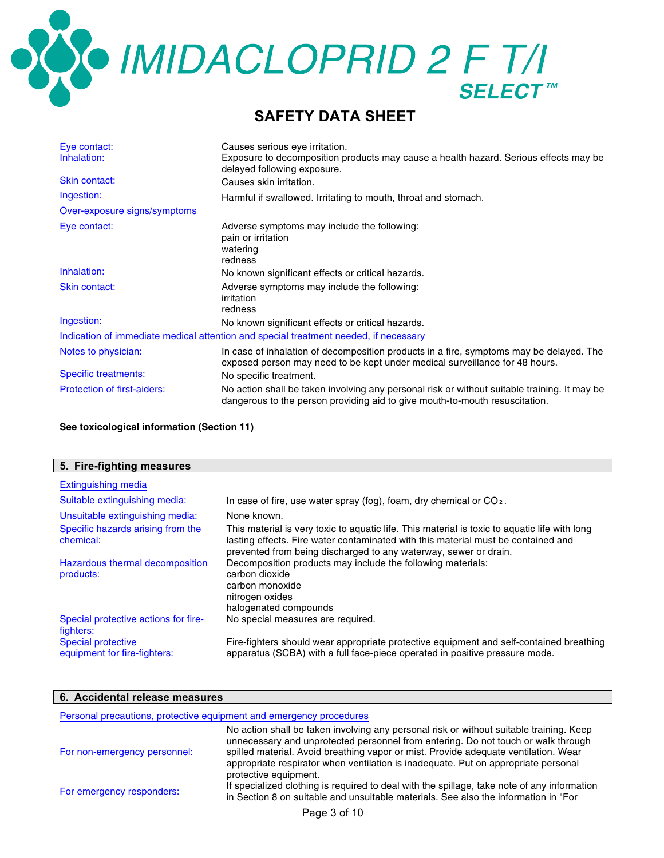OCOMIDACLOPRID 2 F T/I

### **SAFETY DATA SHEET**

| Eye contact:<br>Inhalation:                                                          | Causes serious eye irritation.<br>Exposure to decomposition products may cause a health hazard. Serious effects may be<br>delayed following exposure.                       |  |
|--------------------------------------------------------------------------------------|-----------------------------------------------------------------------------------------------------------------------------------------------------------------------------|--|
| Skin contact:                                                                        | Causes skin irritation.                                                                                                                                                     |  |
| Ingestion:                                                                           | Harmful if swallowed. Irritating to mouth, throat and stomach.                                                                                                              |  |
| Over-exposure signs/symptoms                                                         |                                                                                                                                                                             |  |
| Eye contact:                                                                         | Adverse symptoms may include the following:<br>pain or irritation<br>watering                                                                                               |  |
|                                                                                      | redness                                                                                                                                                                     |  |
| Inhalation:                                                                          | No known significant effects or critical hazards.                                                                                                                           |  |
| Skin contact:                                                                        | Adverse symptoms may include the following:<br>irritation<br>redness                                                                                                        |  |
| Ingestion:                                                                           | No known significant effects or critical hazards.                                                                                                                           |  |
| Indication of immediate medical attention and special treatment needed, if necessary |                                                                                                                                                                             |  |
| Notes to physician:                                                                  | In case of inhalation of decomposition products in a fire, symptoms may be delayed. The<br>exposed person may need to be kept under medical surveillance for 48 hours.      |  |
| <b>Specific treatments:</b>                                                          | No specific treatment.                                                                                                                                                      |  |
| <b>Protection of first-aiders:</b>                                                   | No action shall be taken involving any personal risk or without suitable training. It may be<br>dangerous to the person providing aid to give mouth-to-mouth resuscitation. |  |

**See toxicological information (Section 11)**

| 5. Fire-fighting measures                                 |                                                                                                                                                                                                                                                        |
|-----------------------------------------------------------|--------------------------------------------------------------------------------------------------------------------------------------------------------------------------------------------------------------------------------------------------------|
| Extinguishing media                                       |                                                                                                                                                                                                                                                        |
| Suitable extinguishing media:                             | In case of fire, use water spray (fog), foam, dry chemical or $CO2$ .                                                                                                                                                                                  |
| Unsuitable extinguishing media:                           | None known.                                                                                                                                                                                                                                            |
| Specific hazards arising from the<br>chemical:            | This material is very toxic to aquatic life. This material is toxic to aquatic life with long<br>lasting effects. Fire water contaminated with this material must be contained and<br>prevented from being discharged to any waterway, sewer or drain. |
| Hazardous thermal decomposition<br>products:              | Decomposition products may include the following materials:<br>carbon dioxide<br>carbon monoxide<br>nitrogen oxides<br>halogenated compounds                                                                                                           |
| Special protective actions for fire-<br>fighters:         | No special measures are required.                                                                                                                                                                                                                      |
| <b>Special protective</b><br>equipment for fire-fighters: | Fire-fighters should wear appropriate protective equipment and self-contained breathing<br>apparatus (SCBA) with a full face-piece operated in positive pressure mode.                                                                                 |

### **6. Accidental release measures**

| Personal precautions, protective equipment and emergency procedures |                                                                                                                                                                                                    |  |
|---------------------------------------------------------------------|----------------------------------------------------------------------------------------------------------------------------------------------------------------------------------------------------|--|
|                                                                     | No action shall be taken involving any personal risk or without suitable training. Keep<br>unnecessary and unprotected personnel from entering. Do not touch or walk through                       |  |
| For non-emergency personnel:                                        | spilled material. Avoid breathing vapor or mist. Provide adequate ventilation. Wear<br>appropriate respirator when ventilation is inadequate. Put on appropriate personal<br>protective equipment. |  |
| For emergency responders:                                           | If specialized clothing is required to deal with the spillage, take note of any information<br>in Section 8 on suitable and unsuitable materials. See also the information in "For                 |  |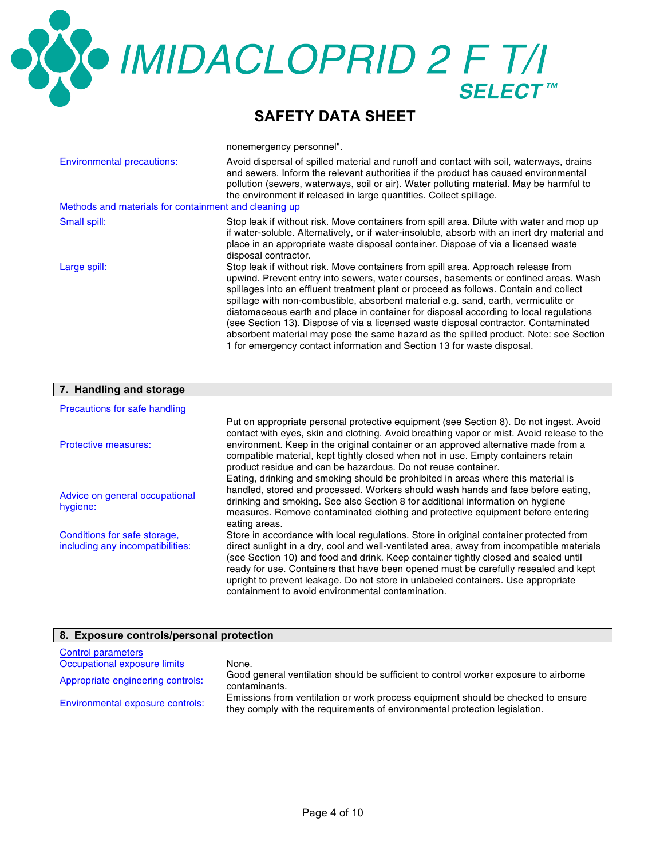## **OCO IMIDACLOPRID 2 F T/I**

### **SAFETY DATA SHEET**

nonemergency personnel".

| <b>Environmental precautions:</b><br>Methods and materials for containment and cleaning up | Avoid dispersal of spilled material and runoff and contact with soil, waterways, drains<br>and sewers. Inform the relevant authorities if the product has caused environmental<br>pollution (sewers, waterways, soil or air). Water polluting material. May be harmful to<br>the environment if released in large quantities. Collect spillage.                                                                                                                                                                                                                                                                                                                                                            |
|--------------------------------------------------------------------------------------------|------------------------------------------------------------------------------------------------------------------------------------------------------------------------------------------------------------------------------------------------------------------------------------------------------------------------------------------------------------------------------------------------------------------------------------------------------------------------------------------------------------------------------------------------------------------------------------------------------------------------------------------------------------------------------------------------------------|
| Small spill:                                                                               | Stop leak if without risk. Move containers from spill area. Dilute with water and mop up<br>if water-soluble. Alternatively, or if water-insoluble, absorb with an inert dry material and<br>place in an appropriate waste disposal container. Dispose of via a licensed waste<br>disposal contractor.                                                                                                                                                                                                                                                                                                                                                                                                     |
| Large spill:                                                                               | Stop leak if without risk. Move containers from spill area. Approach release from<br>upwind. Prevent entry into sewers, water courses, basements or confined areas. Wash<br>spillages into an effluent treatment plant or proceed as follows. Contain and collect<br>spillage with non-combustible, absorbent material e.g. sand, earth, vermiculite or<br>diatomaceous earth and place in container for disposal according to local regulations<br>(see Section 13). Dispose of via a licensed waste disposal contractor. Contaminated<br>absorbent material may pose the same hazard as the spilled product. Note: see Section<br>1 for emergency contact information and Section 13 for waste disposal. |

### **7. Handling and storage**

| Precautions for safe handling                                    |                                                                                                                                                                                                                                                                                                                                                                                                                                                                                                             |
|------------------------------------------------------------------|-------------------------------------------------------------------------------------------------------------------------------------------------------------------------------------------------------------------------------------------------------------------------------------------------------------------------------------------------------------------------------------------------------------------------------------------------------------------------------------------------------------|
| Protective measures:                                             | Put on appropriate personal protective equipment (see Section 8). Do not ingest. Avoid<br>contact with eyes, skin and clothing. Avoid breathing vapor or mist. Avoid release to the<br>environment. Keep in the original container or an approved alternative made from a<br>compatible material, kept tightly closed when not in use. Empty containers retain<br>product residue and can be hazardous. Do not reuse container.                                                                             |
| Advice on general occupational<br>hygiene:                       | Eating, drinking and smoking should be prohibited in areas where this material is<br>handled, stored and processed. Workers should wash hands and face before eating.<br>drinking and smoking. See also Section 8 for additional information on hygiene<br>measures. Remove contaminated clothing and protective equipment before entering<br>eating areas.                                                                                                                                                 |
| Conditions for safe storage,<br>including any incompatibilities: | Store in accordance with local regulations. Store in original container protected from<br>direct sunlight in a dry, cool and well-ventilated area, away from incompatible materials<br>(see Section 10) and food and drink. Keep container tightly closed and sealed until<br>ready for use. Containers that have been opened must be carefully resealed and kept<br>upright to prevent leakage. Do not store in unlabeled containers. Use appropriate<br>containment to avoid environmental contamination. |

### **8. Exposure controls/personal protection**

| <b>Control parameters</b><br>Occupational exposure limits | None.                                                                                                                                                          |
|-----------------------------------------------------------|----------------------------------------------------------------------------------------------------------------------------------------------------------------|
| Appropriate engineering controls:                         | Good general ventilation should be sufficient to control worker exposure to airborne<br>contaminants.                                                          |
| Environmental exposure controls:                          | Emissions from ventilation or work process equipment should be checked to ensure<br>they comply with the requirements of environmental protection legislation. |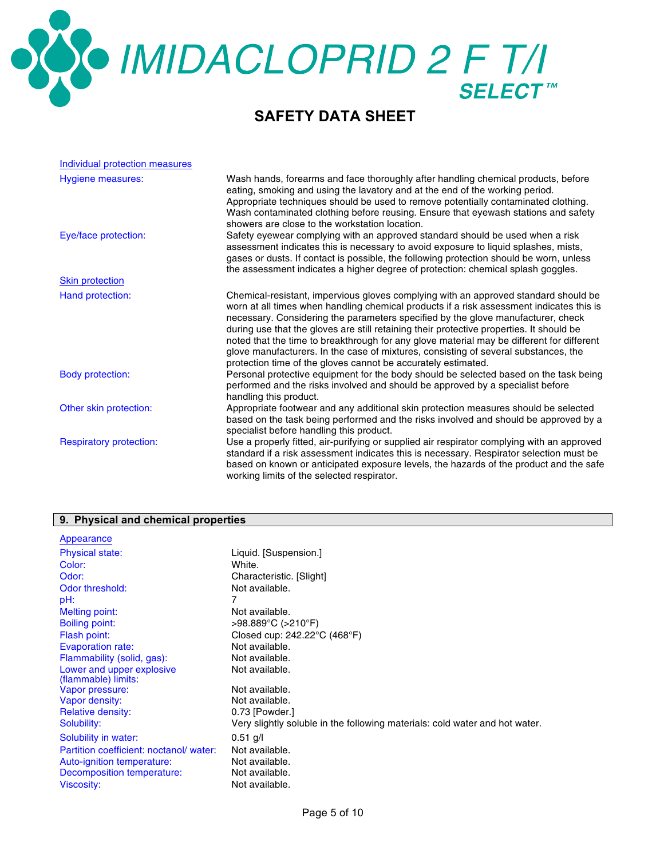# OCOMIDACLOPRID 2 F T/I

### **SAFETY DATA SHEET**

| Individual protection measures |                                                                                                                                                                                                                                                                                                                                                                                                                                                                                                                                                                                                                      |
|--------------------------------|----------------------------------------------------------------------------------------------------------------------------------------------------------------------------------------------------------------------------------------------------------------------------------------------------------------------------------------------------------------------------------------------------------------------------------------------------------------------------------------------------------------------------------------------------------------------------------------------------------------------|
| <b>Hygiene measures:</b>       | Wash hands, forearms and face thoroughly after handling chemical products, before<br>eating, smoking and using the lavatory and at the end of the working period.<br>Appropriate techniques should be used to remove potentially contaminated clothing.<br>Wash contaminated clothing before reusing. Ensure that eyewash stations and safety<br>showers are close to the workstation location.                                                                                                                                                                                                                      |
| Eye/face protection:           | Safety eyewear complying with an approved standard should be used when a risk<br>assessment indicates this is necessary to avoid exposure to liquid splashes, mists,<br>gases or dusts. If contact is possible, the following protection should be worn, unless<br>the assessment indicates a higher degree of protection: chemical splash goggles.                                                                                                                                                                                                                                                                  |
| <b>Skin protection</b>         |                                                                                                                                                                                                                                                                                                                                                                                                                                                                                                                                                                                                                      |
| Hand protection:               | Chemical-resistant, impervious gloves complying with an approved standard should be<br>worn at all times when handling chemical products if a risk assessment indicates this is<br>necessary. Considering the parameters specified by the glove manufacturer, check<br>during use that the gloves are still retaining their protective properties. It should be<br>noted that the time to breakthrough for any glove material may be different for different<br>glove manufacturers. In the case of mixtures, consisting of several substances, the<br>protection time of the gloves cannot be accurately estimated. |
| <b>Body protection:</b>        | Personal protective equipment for the body should be selected based on the task being<br>performed and the risks involved and should be approved by a specialist before<br>handling this product.                                                                                                                                                                                                                                                                                                                                                                                                                    |
| Other skin protection:         | Appropriate footwear and any additional skin protection measures should be selected<br>based on the task being performed and the risks involved and should be approved by a<br>specialist before handling this product.                                                                                                                                                                                                                                                                                                                                                                                              |
| <b>Respiratory protection:</b> | Use a properly fitted, air-purifying or supplied air respirator complying with an approved<br>standard if a risk assessment indicates this is necessary. Respirator selection must be<br>based on known or anticipated exposure levels, the hazards of the product and the safe<br>working limits of the selected respirator.                                                                                                                                                                                                                                                                                        |

### **9. Physical and chemical properties**

| Appearance                             |                                                                                               |
|----------------------------------------|-----------------------------------------------------------------------------------------------|
| <b>Physical state:</b>                 | Liquid. [Suspension.]                                                                         |
| Color:                                 | White.                                                                                        |
| Odor:                                  | Characteristic. [Slight]                                                                      |
| Odor threshold:                        | Not available.                                                                                |
| pH:                                    | 7                                                                                             |
| Melting point:                         | Not available.                                                                                |
| <b>Boiling point:</b>                  | >98.889°C (>210°F)                                                                            |
| Flash point:                           | Closed cup: 242.22°C (468°F)                                                                  |
| <b>Evaporation rate:</b>               | Not available.                                                                                |
| Flammability (solid, gas):             | Not available.                                                                                |
| Lower and upper explosive              | Not available.                                                                                |
| (flammable) limits:                    |                                                                                               |
| Vapor pressure:                        | Not available.                                                                                |
| Vapor density:                         | Not available.                                                                                |
| Relative density:<br>Solubility:       | 0.73 [Powder.]<br>Very slightly soluble in the following materials: cold water and hot water. |
|                                        |                                                                                               |
| Solubility in water:                   | $0.51$ g/l                                                                                    |
| Partition coefficient: noctanol/water: | Not available.                                                                                |
| Auto-ignition temperature:             | Not available.                                                                                |
| Decomposition temperature:             | Not available.                                                                                |
| Viscosity:                             | Not available.                                                                                |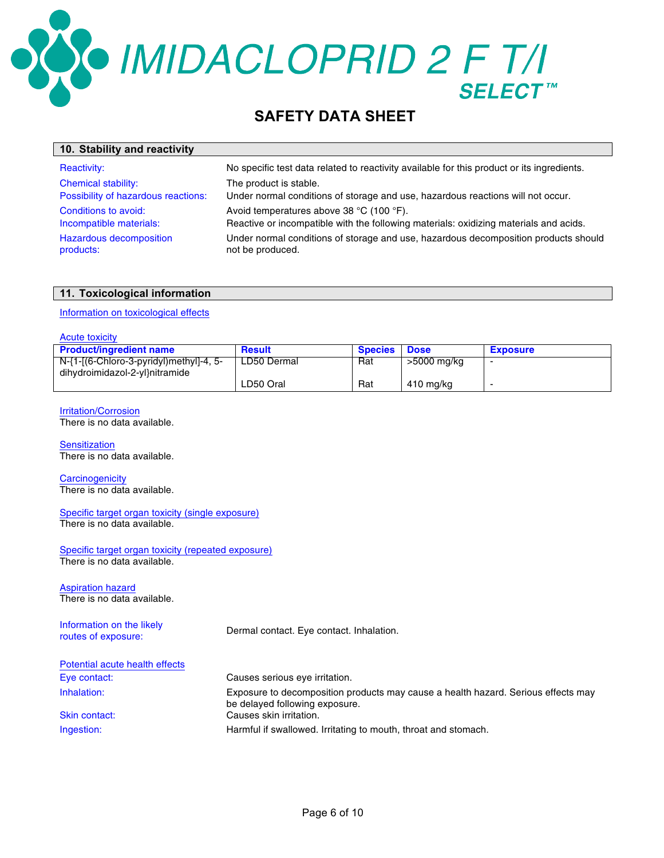**SO IMIDACLOPRID 2 F T/I** 

### **SAFETY DATA SHEET**

| 10. Stability and reactivity                    |                                                                                                                                   |
|-------------------------------------------------|-----------------------------------------------------------------------------------------------------------------------------------|
| <b>Reactivity:</b>                              | No specific test data related to reactivity available for this product or its ingredients.                                        |
| <b>Chemical stability:</b>                      | The product is stable.                                                                                                            |
| Possibility of hazardous reactions:             | Under normal conditions of storage and use, hazardous reactions will not occur.                                                   |
| Conditions to avoid:<br>Incompatible materials: | Avoid temperatures above 38 °C (100 °F).<br>Reactive or incompatible with the following materials: oxidizing materials and acids. |
| Hazardous decomposition<br>products:            | Under normal conditions of storage and use, hazardous decomposition products should<br>not be produced.                           |

### **11. Toxicological information**

### Information on toxicological effects

### Acute toxicity

| <b>Product/ingredient name</b>          | <b>Result</b> | <b>Species Dose</b> |             | <b>Exposure</b> |
|-----------------------------------------|---------------|---------------------|-------------|-----------------|
| N-{1-[(6-Chloro-3-pyridyl)methyl]-4, 5- | LD50 Dermal   | Rat                 | >5000 mg/kg |                 |
| dihydroimidazol-2-yl}nitramide          |               |                     |             |                 |
|                                         | LD50 Oral     | Rat                 | 410 mg/kg   |                 |

### Irritation/Corrosion

There is no data available.

**Sensitization** There is no data available.

**Carcinogenicity** There is no data available.

Specific target organ toxicity (single exposure) There is no data available.

Specific target organ toxicity (repeated exposure) There is no data available.

Aspiration hazard There is no data available.

Information on the likely miormation on the likely<br>routes of exposure:<br> $Dermal contact. Eye contact. Inhalation.$ Potential acute health effects Eye contact: Causes serious eye irritation. Inhalation: Exposure to decomposition products may cause a health hazard. Serious effects may be delayed following exposure. Skin contact: Causes skin irritation. Ingestion: Harmful if swallowed. Irritating to mouth, throat and stomach.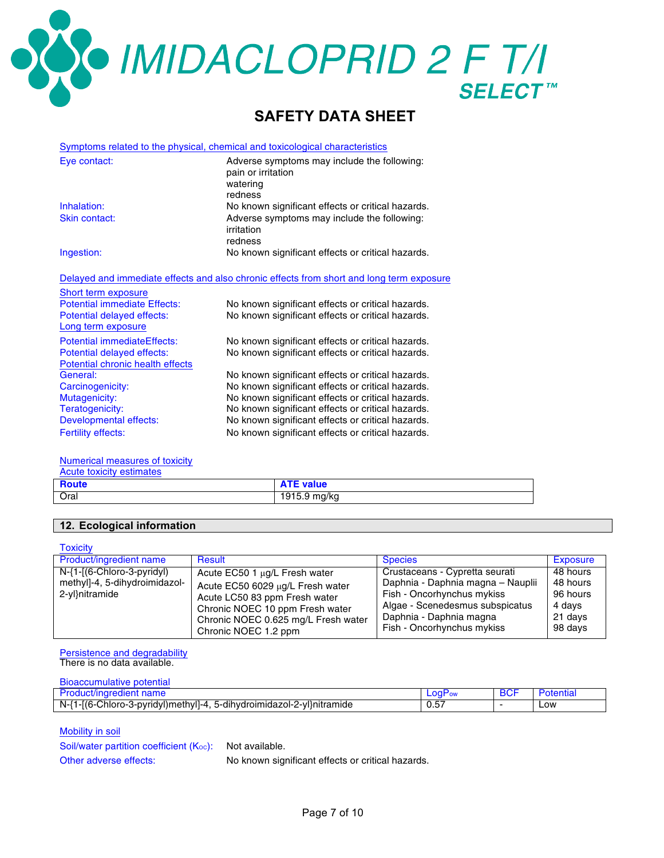**SOO IMIDACLOPRID 2 F T/I** 

### **SAFETY DATA SHEET**

|                                                                | Symptoms related to the physical, chemical and toxicological characteristics             |
|----------------------------------------------------------------|------------------------------------------------------------------------------------------|
| Eye contact:                                                   | Adverse symptoms may include the following:<br>pain or irritation<br>watering<br>redness |
| Inhalation:                                                    | No known significant effects or critical hazards.                                        |
| Skin contact:                                                  | Adverse symptoms may include the following:<br>irritation<br>redness                     |
| Ingestion:                                                     | No known significant effects or critical hazards.                                        |
|                                                                | Delayed and immediate effects and also chronic effects from short and long term exposure |
| Short term exposure                                            |                                                                                          |
| <b>Potential immediate Effects:</b>                            | No known significant effects or critical hazards.                                        |
| Potential delayed effects:<br>Long term exposure               | No known significant effects or critical hazards.                                        |
| <b>Potential immediateEffects:</b>                             | No known significant effects or critical hazards.                                        |
| Potential delayed effects:<br>Potential chronic health effects | No known significant effects or critical hazards.                                        |
| General:                                                       | No known significant effects or critical hazards.                                        |
| Carcinogenicity:                                               | No known significant effects or critical hazards.                                        |
| Mutagenicity:                                                  | No known significant effects or critical hazards.                                        |
| Teratogenicity:                                                | No known significant effects or critical hazards.                                        |
| Developmental effects:                                         | No known significant effects or critical hazards.                                        |
| <b>Fertility effects:</b>                                      | No known significant effects or critical hazards.                                        |
|                                                                |                                                                                          |

### Numerical measures of toxicity

| Acute toxicity estimates |                  |
|--------------------------|------------------|
| <b>Route</b>             | <b>ATE value</b> |
| Oral                     | 1915.9 mg/kg     |

### **12. Ecological information**

| <b>Toxicity</b>                                                               |                                                                                                                                                                              |                                                                                                                                                                 |                                                       |
|-------------------------------------------------------------------------------|------------------------------------------------------------------------------------------------------------------------------------------------------------------------------|-----------------------------------------------------------------------------------------------------------------------------------------------------------------|-------------------------------------------------------|
| <b>Product/ingredient name</b>                                                | <b>Result</b>                                                                                                                                                                | <b>Species</b>                                                                                                                                                  | Exposure                                              |
| N-{1-[(6-Chloro-3-pyridyl)<br>methyl]-4, 5-dihydroimidazol-<br>2-yl}nitramide | Acute EC50 1 µg/L Fresh water<br>Acute EC50 6029 µg/L Fresh water<br>Acute LC50 83 ppm Fresh water<br>Chronic NOEC 10 ppm Fresh water<br>Chronic NOEC 0.625 mg/L Fresh water | Crustaceans - Cypretta seurati<br>Daphnia - Daphnia magna - Nauplii<br>Fish - Oncorhynchus mykiss<br>Algae - Scenedesmus subspicatus<br>Daphnia - Daphnia magna | 48 hours<br>48 hours<br>96 hours<br>4 days<br>21 days |
|                                                                               | Chronic NOEC 1.2 ppm                                                                                                                                                         | Fish - Oncorhynchus mykiss                                                                                                                                      | 98 days                                               |

Persistence and degradability There is no data available.

| <b>Bioaccumulative potential</b>                                      |                    |            |           |
|-----------------------------------------------------------------------|--------------------|------------|-----------|
| Product/ingredient name                                               | LOGP <sub>ow</sub> | <b>BCF</b> | Potential |
| N-{1-[(6-Chloro-3-pyridyl)methyl]-4, 5-dihydroimidazol-2-yl}nitramide | 0.57               |            | LOW       |

Mobility in soil

Soil/water partition coefficient  $(K<sub>oc</sub>)$ : Not available.

Other adverse effects: No known significant effects or critical hazards.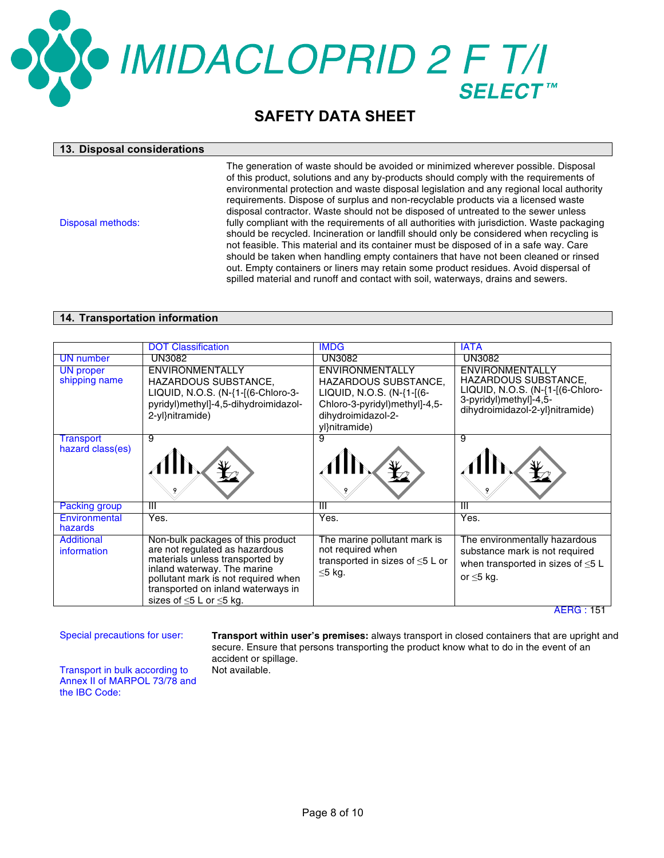## ● IMIDACLOPRID 2 F T/I

### **SAFETY DATA SHEET**

### **13. Disposal considerations**

Disposal methods:

The generation of waste should be avoided or minimized wherever possible. Disposal of this product, solutions and any by-products should comply with the requirements of environmental protection and waste disposal legislation and any regional local authority requirements. Dispose of surplus and non-recyclable products via a licensed waste disposal contractor. Waste should not be disposed of untreated to the sewer unless fully compliant with the requirements of all authorities with jurisdiction. Waste packaging should be recycled. Incineration or landfill should only be considered when recycling is not feasible. This material and its container must be disposed of in a safe way. Care should be taken when handling empty containers that have not been cleaned or rinsed out. Empty containers or liners may retain some product residues. Avoid dispersal of spilled material and runoff and contact with soil, waterways, drains and sewers.

### **14. Transportation information**

|                                   | <b>DOT Classification</b>                                                                                                                                                                                                                                 | <b>IMDG</b>                                                                                                | <b>IATA</b>                                                                                                                               |
|-----------------------------------|-----------------------------------------------------------------------------------------------------------------------------------------------------------------------------------------------------------------------------------------------------------|------------------------------------------------------------------------------------------------------------|-------------------------------------------------------------------------------------------------------------------------------------------|
| <b>UN</b> number                  | <b>UN3082</b>                                                                                                                                                                                                                                             | <b>UN3082</b>                                                                                              | <b>UN3082</b>                                                                                                                             |
| <b>UN</b> proper<br>shipping name | ENVIRONMENTALLY<br>HAZARDOUS SUBSTANCE,<br>LIQUID, N.O.S. (N-{1-[(6-Chloro-3-                                                                                                                                                                             | ENVIRONMENTALLY<br>HAZARDOUS SUBSTANCE,<br>LIQUID, N.O.S. (N-{1-[(6-                                       | ENVIRONMENTALLY<br>HAZARDOUS SUBSTANCE,<br>LIQUID, N.O.S. (N-{1-[(6-Chloro-                                                               |
|                                   | pyridyl)methyl]-4,5-dihydroimidazol-<br>2-yl}nitramide)                                                                                                                                                                                                   | Chloro-3-pyridyl)methyl]-4,5-<br>dihydroimidazol-2-<br>yl}nitramide)                                       | 3-pyridyl)methyl]-4,5-<br>dihydroimidazol-2-yl}nitramide)                                                                                 |
| Transport                         | 9                                                                                                                                                                                                                                                         | 9                                                                                                          | 9                                                                                                                                         |
| hazard class(es)                  |                                                                                                                                                                                                                                                           |                                                                                                            |                                                                                                                                           |
| Packing group                     | Ш                                                                                                                                                                                                                                                         | Ш                                                                                                          | Ш                                                                                                                                         |
| Environmental<br>hazards          | Yes.                                                                                                                                                                                                                                                      | Yes.                                                                                                       | Yes.                                                                                                                                      |
| <b>Additional</b><br>information  | Non-bulk packages of this product<br>are not regulated as hazardous<br>materials unless transported by<br>inland waterway. The marine<br>pollutant mark is not required when<br>transported on inland waterways in<br>sizes of $\leq$ 5 L or $\leq$ 5 kg. | The marine pollutant mark is<br>not required when<br>transported in sizes of $\leq 5$ L or<br>$\leq$ 5 kg. | The environmentally hazardous<br>substance mark is not required<br>when transported in sizes of $\leq 5$ L<br>or $\leq$ 5 kg.<br>AFRG:151 |

Special precautions for user: **Transport within user's premises:** always transport in closed containers that are upright and secure. Ensure that persons transporting the product know what to do in the event of an accident or spillage. Not available.

Transport in bulk according to Annex II of MARPOL 73/78 and the IBC Code: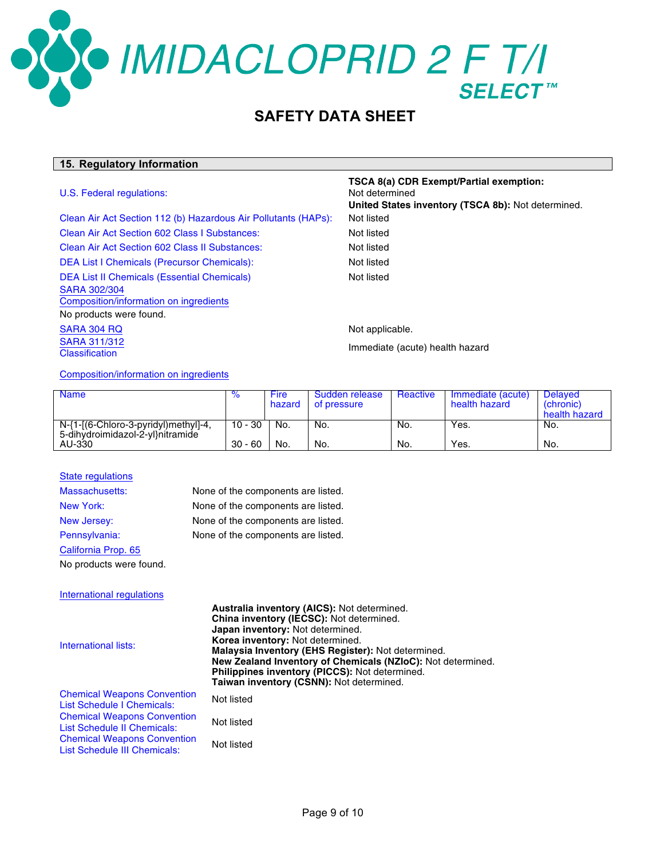### **OMIDACLOPRID 2 F T/I SELECT™**

### **SAFETY DATA SHEET**

### **15. Regulatory Information**

### U.S. Federal regulations:

SARA 311/312

Clean Air Act Section 112 (b) Hazardous Air Pollutants (HAPs): Not listed Clean Air Act Section 602 Class I Substances: Not listed Clean Air Act Section 602 Class II Substances: Not listed DEA List I Chemicals (Precursor Chemicals): Not listed DEA List II Chemicals (Essential Chemicals) Not listed SARA 302/304 Composition/information on ingredients No products were found. SARA 304 RQ Not applicable.

### Not determined **United States inventory (TSCA 8b):** Not determined.

**TSCA 8(a) CDR Exempt/Partial exemption:**

**CATA STISTS**<br>Classification **Immediate** (acute) health hazard

Composition/information on ingredients

| <b>Name</b>                                                              | $\%$      | Fire<br>hazard | Sudden release<br>of pressure | Reactive | Immediate (acute)<br>health hazard | <b>Delaved</b><br>(chronic)<br>health hazard |
|--------------------------------------------------------------------------|-----------|----------------|-------------------------------|----------|------------------------------------|----------------------------------------------|
| N-{1-[(6-Chloro-3-pyridyl)methyl]-4,<br>5-dihydroimidazol-2-yl}nitramide | $10 - 30$ | No.            | No.                           | No.      | Yes.                               | No.                                          |
| AU-330                                                                   | $30 - 60$ | No.            | No.                           | No.      | Yes.                               | No.                                          |

### State regulations Massachusetts: None of the components are listed. New York: None of the components are listed. New Jersey: None of the components are listed. Pennsylvania: None of the components are listed. California Prop. 65 No products were found.

International regulations

International lists:

**Australia inventory (AICS):** Not determined. **China inventory (IECSC):** Not determined. **Japan inventory:** Not determined. **Korea inventory:** Not determined. **Malaysia Inventory (EHS Register):** Not determined. **New Zealand Inventory of Chemicals (NZIoC):** Not determined. **Philippines inventory (PICCS):** Not determined. **Taiwan inventory (CSNN):** Not determined. Chemical Weapons Convention List Schedule I Chemicals: Not listed

Chemical Weapons Convention List Schedule II Chemicals: Not listed Chemical Weapons Convention List Schedule III Chemicals: Not listed